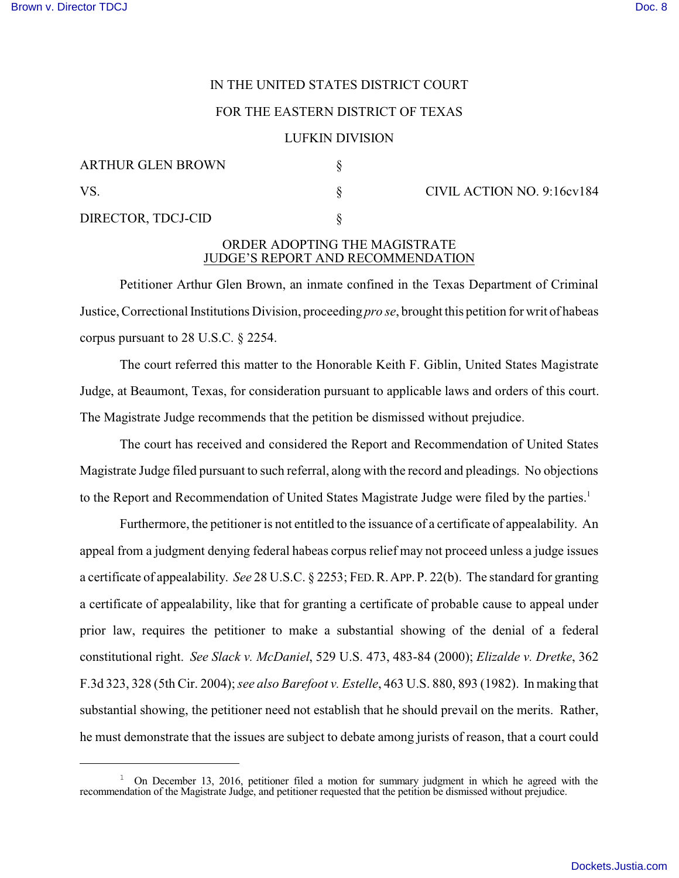# IN THE UNITED STATES DISTRICT COURT

## FOR THE EASTERN DISTRICT OF TEXAS

## LUFKIN DIVISION

| <b>ARTHUR GLEN BROWN</b> |  |
|--------------------------|--|
| VS.                      |  |
| DIRECTOR, TDCJ-CID       |  |

 $\S$  CIVIL ACTION NO. 9:16cv184

## ORDER ADOPTING THE MAGISTRATE JUDGE'S REPORT AND RECOMMENDATION

Petitioner Arthur Glen Brown, an inmate confined in the Texas Department of Criminal Justice, Correctional Institutions Division, proceeding *pro se*, brought this petition for writ of habeas corpus pursuant to 28 U.S.C. § 2254.

The court referred this matter to the Honorable Keith F. Giblin, United States Magistrate Judge, at Beaumont, Texas, for consideration pursuant to applicable laws and orders of this court. The Magistrate Judge recommends that the petition be dismissed without prejudice.

The court has received and considered the Report and Recommendation of United States Magistrate Judge filed pursuant to such referral, along with the record and pleadings. No objections to the Report and Recommendation of United States Magistrate Judge were filed by the parties.<sup>1</sup>

Furthermore, the petitioner is not entitled to the issuance of a certificate of appealability. An appeal from a judgment denying federal habeas corpus relief may not proceed unless a judge issues a certificate of appealability. *See* 28 U.S.C. § 2253; FED.R.APP.P. 22(b). The standard for granting a certificate of appealability, like that for granting a certificate of probable cause to appeal under prior law, requires the petitioner to make a substantial showing of the denial of a federal constitutional right. *See Slack v. McDaniel*, 529 U.S. 473, 483-84 (2000); *Elizalde v. Dretke*, 362 F.3d 323, 328 (5th Cir. 2004); *see also Barefoot v. Estelle*, 463 U.S. 880, 893 (1982). In making that substantial showing, the petitioner need not establish that he should prevail on the merits. Rather, he must demonstrate that the issues are subject to debate among jurists of reason, that a court could

<sup>&</sup>lt;sup>1</sup> On December 13, 2016, petitioner filed a motion for summary judgment in which he agreed with the recommendation of the Magistrate Judge, and petitioner requested that the petition be dismissed without prejudice.